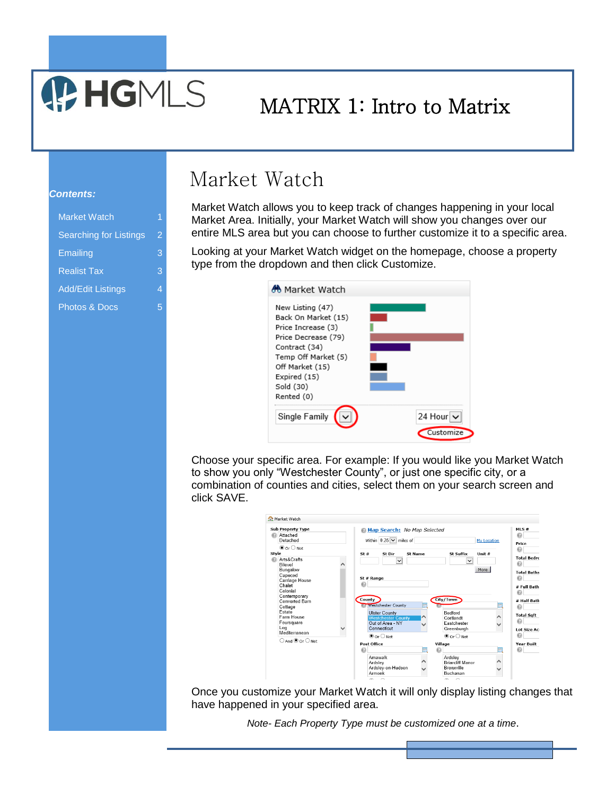# MATRIX 1: Intro to Matrix

#### *Contents:*

| <b>Market Watch</b>           | 1 |
|-------------------------------|---|
| <b>Searching for Listings</b> | 2 |
| Emailing                      | 3 |
| <b>Realist Tax</b>            | 3 |
| <b>Add/Edit Listings</b>      | 4 |
| <b>Photos &amp; Docs</b>      | 5 |

**P. HGMLS** 

### Market Watch

Market Watch allows you to keep track of changes happening in your local Market Area. Initially, your Market Watch will show you changes over our entire MLS area but you can choose to further customize it to a specific area.

Looking at your Market Watch widget on the homepage, choose a property type from the dropdown and then click Customize.



Choose your specific area. For example: If you would like you Market Watch to show you only "Westchester County", or just one specific city, or a combination of counties and cities, select them on your search screen and click SAVE.

| <b>Market Watch</b>                                                                                                                                                                              |                                                                                                                                                                |                                                                                                                           |                      |
|--------------------------------------------------------------------------------------------------------------------------------------------------------------------------------------------------|----------------------------------------------------------------------------------------------------------------------------------------------------------------|---------------------------------------------------------------------------------------------------------------------------|----------------------|
| <b>Sub Property Type</b><br>Attached<br>⋒<br>Detached                                                                                                                                            | Map Search: No Map Selected<br>Within $0.25 \vee$ miles of                                                                                                     |                                                                                                                           | <b>My Location</b>   |
| $\odot$ Or $\bigcirc$ Not<br>Style                                                                                                                                                               | St#<br>St Dir<br>St Name                                                                                                                                       | St Suffix                                                                                                                 | Unit $#$             |
| Arts&Crafts<br>Bilevel<br>Bungalow<br>Capecod<br>Carriage House<br>Chalet<br>Colonial<br>Contemporary<br>Converted Barn<br>Cottage<br>Estate<br>Farm House<br>Foursquare<br>Log<br>Mediterranean | $\checkmark$<br>St # Range<br>⋒<br>County<br><b>Westchester County</b><br><b>Ulster County</b><br><b>Westchester County</b><br>Out of Area - NY<br>Connecticut | City/Town<br><b>Bedford</b><br>⌒<br>Cortlandt<br>Eastchester<br>$\checkmark$<br>Greenburgh                                | $\checkmark$<br>More |
| $\bigcirc$ And $\textcircled{\circ}$ or $\bigcirc$ Not                                                                                                                                           | $\odot$ or $\bigcirc$ Not<br>Post Office<br>⋒<br>Amawalk<br>Ardsley<br>Ardsley-on-Hudson<br>Armonk                                                             | $\odot$ or $\bigcirc$ Not<br>Village<br>Ardslev<br>Λ<br><b>Briarcliff Manor</b><br>Bronxville<br>$\checkmark$<br>Buchanan | 辰<br>∧               |
|                                                                                                                                                                                                  | $\sim$ $\sim$                                                                                                                                                  | $\sim$ $\sim$                                                                                                             |                      |

Once you customize your Market Watch it will only display listing changes that have happened in your specified area.

*Note- Each Property Type must be customized one at a time*.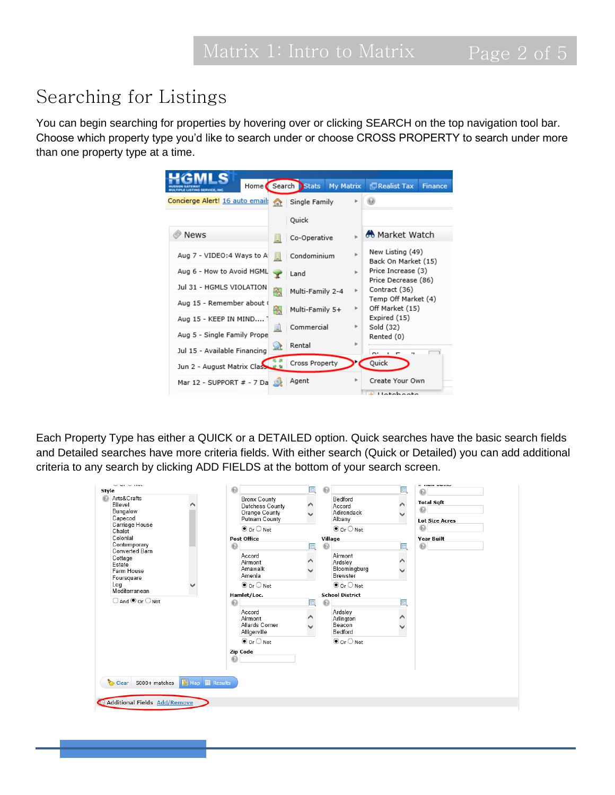### Searching for Listings

You can begin searching for properties by hovering over or clicking SEARCH on the top navigation tool bar. Choose which property type you'd like to search under or choose CROSS PROPERTY to search under more than one property type at a time.

|                                      | Home Search Stats<br>My Matrix |    | Realist Tax<br><b>Finance</b>             |
|--------------------------------------|--------------------------------|----|-------------------------------------------|
| Concierge Alert! 16 auto email:<br>☎ | Single Family                  |    |                                           |
|                                      | Quick                          |    |                                           |
| <b>News</b><br>品                     | Co-Operative                   |    | <b>M</b> Market Watch                     |
| Aug 7 - VIDEO:4 Ways to A<br>Ħ.      | Condominium                    | ь  | New Listing (49)<br>Back On Market (15)   |
| Aug 6 - How to Avoid HGML<br>Y       | Land                           | þ. | Price Increase (3)<br>Price Decrease (86) |
| Jul 31 - HGMLS VIOLATION<br>쯹        | Multi-Family 2-4               | Þ. | Contract (36)                             |
| Aug 15 - Remember about (<br>÷.      | Multi-Family 5+                | r  | Temp Off Market (4)<br>Off Market (15)    |
| Aug 15 - KEEP IN MIND                |                                |    | Expired (15)                              |
| J.<br>Aug 5 - Single Family Prope    | Commercial                     | r  | Sold (32)<br>Rented (0)                   |
| 盆<br>Jul 15 - Available Financing    | Rental                         |    | $\sim$<br>٠<br>٠.<br>$\overline{ }$       |
| Jun 2 - August Matrix Class          | Cross Property                 |    | Quick                                     |
| Mar 12 - SUPPORT # - 7 Da            | Agent                          | ٠  | Create Your Own<br>del Hatalsaata         |

Each Property Type has either a QUICK or a DETAILED option. Quick searches have the basic search fields and Detailed searches have more criteria fields. With either search (Quick or Detailed) you can add additional criteria to any search by clicking ADD FIELDS at the bottom of your search screen.

| $-    -$<br>Style<br>Arts&Crafts<br>Bilevel<br>Bungalow<br>Capecod<br>Carriage House<br>Chalet                             | $\odot$<br>雨<br><b>Bronx County</b><br><b>Dutchess County</b><br>⌒<br>Orange County<br>Putnam County<br>$\odot$ Or $\bigcirc$ Not | $\odot$<br>聏<br>Bedford<br>Accord<br>Adirondack<br>Albany<br>$\odot$ Or $\bigcirc$ Not                                  | a como passou<br>⋒<br><b>Total Sgft</b><br>$\odot$<br><b>Lot Size Acres</b><br>$\odot$ |
|----------------------------------------------------------------------------------------------------------------------------|-----------------------------------------------------------------------------------------------------------------------------------|-------------------------------------------------------------------------------------------------------------------------|----------------------------------------------------------------------------------------|
| Colonial<br>Contemporary<br><b>Converted Barn</b><br>Cottage<br>Estate<br>Farm House<br>Foursquare<br>Log<br>Mediterranean | <b>Post Office</b><br>⋒<br>Accord<br>Airmont<br>Amawalk<br>Amenia<br>$\odot$ Or $\bigcirc$ Not                                    | Village<br>o<br>Airmont<br>∧<br>Ardsley<br>Bloomingburg<br>$\checkmark$<br><b>Brewster</b><br>$\odot$ or $\bigcirc$ Not | <b>Year Built</b><br>$\odot$                                                           |
| $\bigcirc$ And $\bigcirc$ Or $\bigcirc$ Not                                                                                | Hamlet/Loc.<br>⋒<br>可<br>Accord<br>Airmont<br>Allards Corner<br>Alligerville<br>$\odot$ Or $\bigcirc$ Not<br>Zip Code<br>⋒        | <b>School District</b><br>⋒<br>Ardsley<br>⌒<br>Arlington<br>Beacon<br>Bedford<br>$\odot$ Or $\bigcirc$ Not              |                                                                                        |
| Clear<br>5000+ matches $\sqrt{\mathbf{M}}$ Map <b>in</b> Results                                                           |                                                                                                                                   |                                                                                                                         |                                                                                        |
| Additional Fields Add/Remove                                                                                               |                                                                                                                                   |                                                                                                                         |                                                                                        |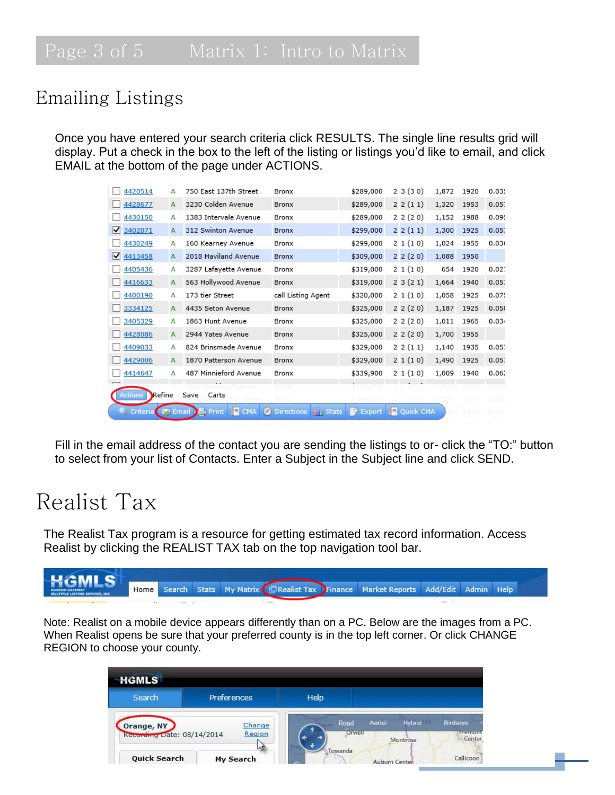#### Emailing Listings

Once you have entered your search criteria click RESULTS. The single line results grid will display. Put a check in the box to the left of the listing or listings you'd like to email, and click EMAIL at the bottom of the page under ACTIONS.

| 4420514           | А | 750 East 137th Street                                      | Bronx                          | \$289,000            | 23(30)           | 1,872 | 1920 | 0.035 |
|-------------------|---|------------------------------------------------------------|--------------------------------|----------------------|------------------|-------|------|-------|
| 4428677           | A | 3230 Colden Avenue                                         | Bronx                          | \$289,000            | 22(11)           | 1,320 | 1953 | 0.057 |
| 4430150           | А | 1383 Intervale Avenue                                      | Bronx                          | \$289,000            | 22(20)           | 1,152 | 1988 | 0.09! |
| ∨<br>3402071      | А | 312 Swinton Avenue                                         | <b>Bronx</b>                   | \$299,000            | 22(11)           | 1,300 | 1925 | 0.057 |
| 4430249           | А | 160 Kearney Avenue                                         | Bronx                          | \$299,000            | 21(10)           | 1,024 | 1955 | 0.036 |
| ⋈<br>4413458      | A | 2018 Haviland Avenue                                       | Bronx                          | \$309,000            | 22(20)           | 1,088 | 1950 |       |
| 4405436           | А | 3287 Lafayette Avenue                                      | Bronx                          | \$319,000            | 21(10)           | 654   | 1920 | 0.027 |
| 4416633           | А | 563 Hollywood Avenue                                       | Bronx                          | \$319,000            | 23(21)           | 1,664 | 1940 | 0.057 |
| 4400190           | А | 173 tier Street                                            | call Listing Agent             | \$320,000            | 21(10)           | 1,058 | 1925 | 0.075 |
| 3334125           | А | 4435 Seton Avenue                                          | Bronx                          | \$325,000            | 22(20)           | 1,187 | 1925 | 0.058 |
| 3405329           | А | 1863 Hunt Avenue                                           | Bronx                          | \$325,000            | 2 2 (2 0)        | 1,011 | 1965 | 0.034 |
| 4428086           | A | 2944 Yates Avenue                                          | Bronx                          | \$325,000            | 22(20)           | 1,700 | 1955 |       |
| 4409033           | А | 824 Brinsmade Avenue                                       | Bronx                          | \$329,000            | 22(11)           | 1,140 | 1935 | 0.057 |
| 4429006           | A | 1870 Patterson Avenue                                      | Bronx                          | \$329,000            | 21(10)           | 1,490 | 1925 | 0.057 |
| 4414647           | А | 487 Minnieford Avenue                                      | Bronx                          | \$339,900            | 21(10)           | 1,009 | 1940 | 0.06. |
|                   |   | Avenue                                                     | Bronx                          | 5345,000             |                  | 1.070 | 1930 | 0.001 |
| Refine<br>Actions |   | Save<br>Carts<br>Street                                    | Bronx                          | \$349.000            |                  | 1.584 | 1970 | 0.042 |
| Criteria          |   | <b>E</b> CMA<br>$\infty$<br>(图 Email )<br><b>E</b> , Print | Directions $\ \cdot\ _p$ Stats | $\Rightarrow$ Export | <b>Quick CMA</b> | O.    | 1950 | 0.03  |

Fill in the email address of the contact you are sending the listings to or- click the "TO:" button to select from your list of Contacts. Enter a Subject in the Subject line and click SEND.

### Realist Tax

The Realist Tax program is a resource for getting estimated tax record information. Access Realist by clicking the REALIST TAX tab on the top navigation tool bar.



Note: Realist on a mobile device appears differently than on a PC. Below are the images from a PC. When Realist opens be sure that your preferred county is in the top left corner. Or click CHANGE REGION to choose your county.

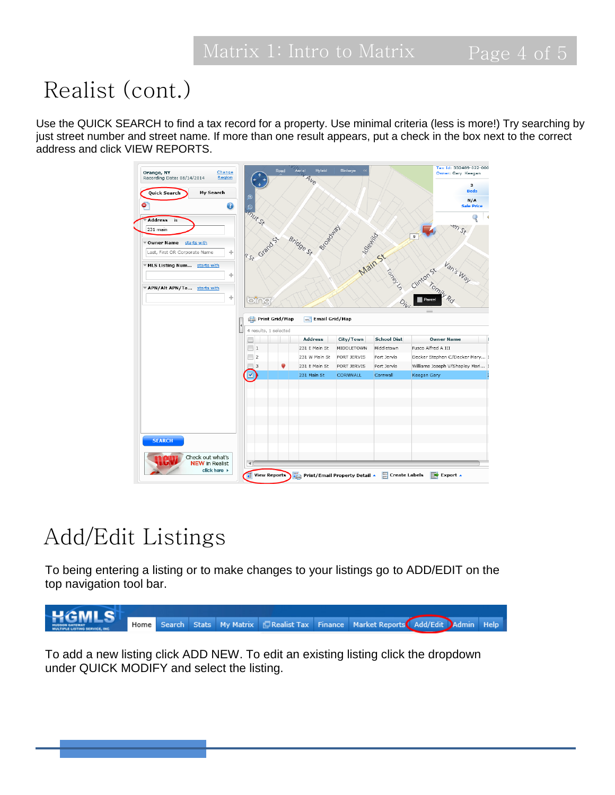# Realist (cont.)

Use the QUICK SEARCH to find a tax record for a property. Use minimal criteria (less is more!) Try searching by just street number and street name. If more than one result appears, put a check in the box next to the correct address and click VIEW REPORTS.

| Change<br>Orange, NY<br>Recording Date: 08/14/2014<br>Region |                          | Aerial<br>Road | Hybrid                        | Birdseye        |                    | Tax Id: 332489-022-000<br>Owner: Gary Keegan |
|--------------------------------------------------------------|--------------------------|----------------|-------------------------------|-----------------|--------------------|----------------------------------------------|
|                                                              | ٠                        |                | $4\nu_{\odot}$                |                 |                    | з<br><b>Beds</b>                             |
| <b>My Search</b><br>Quick Search                             | $\circledcirc$           |                |                               |                 |                    | N/A                                          |
| ٠<br>3                                                       | Θ                        |                |                               |                 |                    | <b>Sale Price</b>                            |
| <b>Address</b><br>is                                         | <b>Inut St</b>           |                |                               |                 |                    |                                              |
| 231 main                                                     |                          |                |                               |                 |                    | $32\%$                                       |
|                                                              |                          |                | Broadway                      |                 | Main St            | $\mathbf{g}$                                 |
| ™ Owner Name<br>starts with                                  | Kst Grandst              | Bridge St      |                               |                 |                    |                                              |
| Last, First OR Corporate Name<br>÷                           |                          |                |                               |                 |                    |                                              |
| ▼ MLS Listing Num<br>starts with                             |                          |                |                               |                 |                    |                                              |
| ÷                                                            |                          |                |                               |                 | TON BLACK          | Van's Way                                    |
|                                                              |                          |                |                               |                 |                    |                                              |
| ▼ APN/Alt APN/Ta starts with                                 |                          |                |                               |                 |                    |                                              |
| ÷                                                            | bing                     |                |                               |                 | $O_{i}$            | Parcel                                       |
|                                                              |                          |                |                               |                 |                    |                                              |
|                                                              | Print Grid/Map           | m.             | Email Grid/Map                |                 |                    |                                              |
|                                                              | 4 results, 1 selected    |                |                               |                 |                    |                                              |
|                                                              |                          |                | <b>Address</b>                | City/Town       | <b>School Dist</b> | <b>Owner Name</b>                            |
|                                                              | $\,1\,$                  |                | 231 E Main St                 | MIDDLETOWN      | Middletown         | Fusco Alfred A III                           |
|                                                              | $\overline{\mathbf{2}}$  |                | 231 W Main St                 | PORT JERVIS     | Port Jervis        | Decker Stephen C/Decker Mary 1               |
|                                                              | 3                        |                | 231 E Main St                 | PORT JERVIS     | Port Jervis        | Williams Joseph V/Shapley Mari 1             |
|                                                              | V                        |                | 231 Main St                   | <b>CORNWALL</b> | Cornwall           | Keegan Gary                                  |
|                                                              |                          |                |                               |                 |                    |                                              |
|                                                              |                          |                |                               |                 |                    |                                              |
|                                                              |                          |                |                               |                 |                    |                                              |
|                                                              |                          |                |                               |                 |                    |                                              |
|                                                              |                          |                |                               |                 |                    |                                              |
| <b>SEARCH</b>                                                |                          |                |                               |                 |                    |                                              |
|                                                              |                          |                |                               |                 |                    |                                              |
| Check out what's                                             |                          |                |                               |                 |                    |                                              |
| <b>NEW</b> in Realist                                        | 41                       |                |                               |                 |                    |                                              |
| click here >                                                 | G<br><b>View Reports</b> |                | Print/Email Property Detail A |                 | Create Labels      | $\blacksquare$ Export $\blacktriangle$       |

## Add/Edit Listings

To being entering a listing or to make changes to your listings go to ADD/EDIT on the top navigation tool bar.



To add a new listing click ADD NEW. To edit an existing listing click the dropdown under QUICK MODIFY and select the listing.